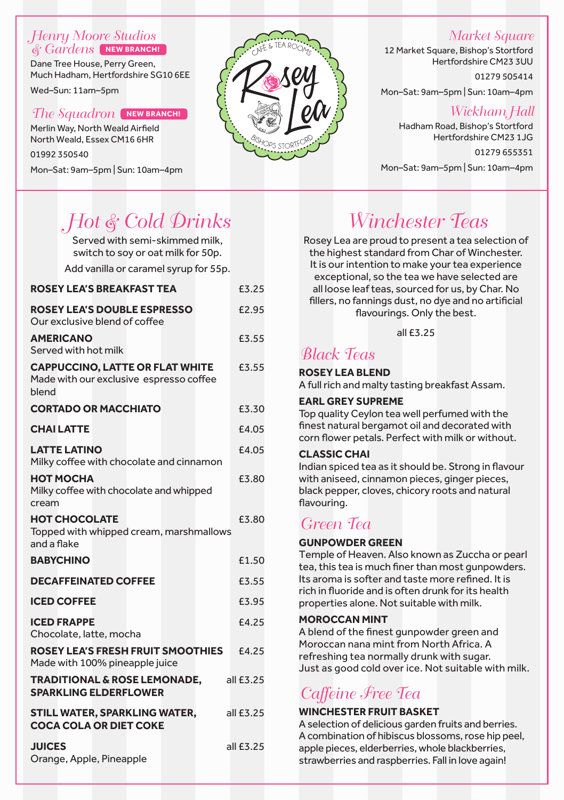#### Henry Moore Studios & Gardens **NEW BRANCH!**

Dane Tree House, Perry Green, Much Hadham, Hertfordshire SG10 6EE

Wed–Sun: 11am–5pm

#### The Squadron **NEW BRANCH!**

Merlin Way, North Weald Airfield North Weald, Essex CM16 6HR 01992 350540 Mon–Sat: 9am–5pm | Sun: 10am–4pm



### Market Square

12 Market Square, Bishop's Stortford Hertfordshire CM23 3UU 01279 505414

Mon–Sat: 9am–5pm | Sun: 10am–4pm

### Wickham Hall

Hadham Road, Bishop's Stortford Hertfordshire CM23 1JG

01279 655351 Mon–Sat: 9am–5pm | Sun: 10am–4pm

# Hot & Cold Drinks

Served with semi-skimmed milk, switch to soy or oat milk for 50p.

Add vanilla or caramel syrup for 55p.

| <b>ROSEY LEA'S BREAKFAST TEA</b>                                                           | £3.25       |  |  |  |  |
|--------------------------------------------------------------------------------------------|-------------|--|--|--|--|
| <b>ROSEY LEA'S DOUBLE ESPRESSO</b><br>Our exclusive blend of coffee                        | £2.95       |  |  |  |  |
| <b>AMERICANO</b><br>Served with hot milk                                                   | £3.55       |  |  |  |  |
| <b>CAPPUCCINO, LATTE OR FLAT WHITE</b><br>Made with our exclusive espresso coffee<br>blend | £3.55       |  |  |  |  |
| <b>CORTADO OR MACCHIATO</b>                                                                | £3.30       |  |  |  |  |
| <b>CHAILATTE</b>                                                                           | £4.05       |  |  |  |  |
| <b>LATTE LATINO</b><br>Milky coffee with chocolate and cinnamon                            | £4.05       |  |  |  |  |
| <b>НОТ МОСНА</b><br>Milky coffee with chocolate and whipped<br>cream                       | £3.80       |  |  |  |  |
| <b>HOT CHOCOLATE</b><br>Topped with whipped cream, marshmallows<br>and a flake             | £3.80       |  |  |  |  |
| <b>BABYCHINO</b>                                                                           | £1.50       |  |  |  |  |
| <b>DECAFFEINATED COFFEE</b>                                                                | £3.55       |  |  |  |  |
| <b>ICED COFFEE</b>                                                                         | £3.95       |  |  |  |  |
| <b>ICED FRAPPE</b><br>Chocolate, latte, mocha                                              | £4.25       |  |  |  |  |
| <b>ROSEY LEA'S FRESH FRUIT SMOOTHIES</b><br>Made with 100% pineapple juice                 | £4.25       |  |  |  |  |
| <b>TRADITIONAL &amp; ROSE LEMONADE,</b><br><b>SPARKLING ELDERFLOWER</b>                    | all $£3.25$ |  |  |  |  |
| STILL WATER, SPARKLING WATER,<br>all £3.25<br><b>COCA COLA OR DIET COKE</b>                |             |  |  |  |  |
| <b>JUICES</b><br>Orange, Apple, Pineapple                                                  | all £3.25   |  |  |  |  |

# Winchester Teas

Rosey Lea are proud to present a tea selection of the highest standard from Char of Winchester. It is our intention to make your tea experience exceptional, so the tea we have selected are all loose leaf teas, sourced for us, by Char. No fillers, no fannings dust, no dye and no artificial flavourings. Only the best.

all £3.25

### Black Teas

**ROSEY LEA BLEND** A full rich and malty tasting breakfast Assam.

#### **EARL GREY SUPREME**

Top quality Ceylon tea well perfumed with the finest natural bergamot oil and decorated with corn flower petals. Perfect with milk or without.

#### **CLASSIC CHAI**

Indian spiced tea as it should be. Strong in flavour with aniseed, cinnamon pieces, ginger pieces, black pepper, cloves, chicory roots and natural flavouring.

### Green Tea

#### **GUNPOWDER GREEN**

Temple of Heaven. Also known as Zuccha or pearl tea, this tea is much finer than most gunpowders. Its aroma is softer and taste more refined. It is rich in fluoride and is often drunk for its health properties alone. Not suitable with milk.

#### **MOROCCAN MINT**

A blend of the finest gunpowder green and Moroccan nana mint from North Africa. A refreshing tea normally drunk with sugar. Just as good cold over ice. Not suitable with milk.

## Caffeine Free Tea

#### **WINCHESTER FRUIT BASKET**

A selection of delicious garden fruits and berries. A combination of hibiscus blossoms, rose hip peel, apple pieces, elderberries, whole blackberries, strawberries and raspberries. Fall in love again!